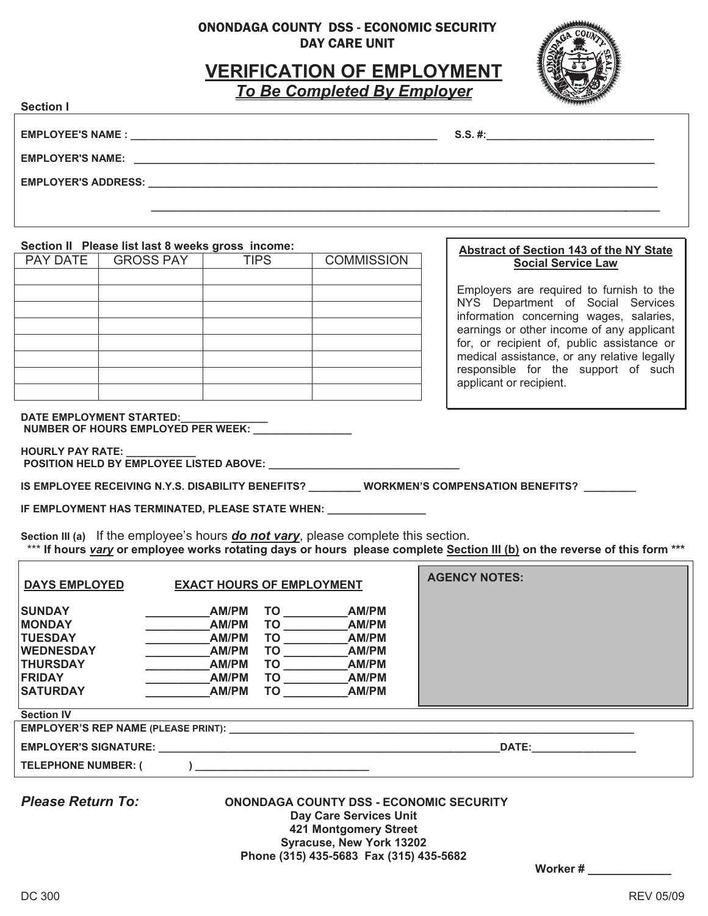### ONONDAGA COUNTY DSS - ECONOMIC SECURITY DAY CARE UNIT

# **VERIFICATION OF EMPLOYMENT**

*To Be Completed By Employer*

 **\_\_\_\_\_\_\_\_\_\_\_\_\_\_\_\_\_\_\_\_\_\_\_\_\_\_\_\_\_\_\_\_\_\_\_\_\_\_\_\_\_\_\_\_\_\_\_\_\_\_\_\_\_\_\_\_\_\_\_\_\_\_\_\_\_\_\_\_\_\_\_\_\_\_\_\_\_\_\_\_\_\_\_\_\_\_\_\_** 



**Section I** 

**EMPLOYEE'S NAME : \_\_\_\_\_\_\_\_\_\_\_\_\_\_\_\_\_\_\_\_\_\_\_\_\_\_\_\_\_\_\_\_\_\_\_\_\_\_\_\_\_\_\_\_\_\_\_\_\_\_\_\_\_ S.S. #:\_\_\_\_\_\_\_\_\_\_\_\_\_\_\_\_\_\_\_\_\_\_\_\_\_\_\_\_\_**

**EMPLOYER'S NAME: \_\_\_\_\_\_\_\_\_\_\_\_\_\_\_\_\_\_\_\_\_\_\_\_\_\_\_\_\_\_\_\_\_\_\_\_\_\_\_\_\_\_\_\_\_\_\_\_\_\_\_\_\_\_\_\_\_\_\_\_\_\_\_\_\_\_\_\_\_\_\_\_\_\_\_\_\_\_\_\_\_\_\_\_\_\_\_\_\_\_** 

**EMPLOYER'S ADDRESS: \_\_\_\_\_\_\_\_\_\_\_\_\_\_\_\_\_\_\_\_\_\_\_\_\_\_\_\_\_\_\_\_\_\_\_\_\_\_\_\_\_\_\_\_\_\_\_\_\_\_\_\_\_\_\_\_\_\_\_\_\_\_\_\_\_\_\_\_\_\_\_\_\_\_\_\_\_\_\_\_\_\_\_\_\_\_\_\_**

### **Section II Please list last 8 weeks gross income:**

| PAY DATE | <b>GROSS PAY</b> | <b>TIPS</b> | <b>COMMISSION</b> |
|----------|------------------|-------------|-------------------|
|          |                  |             |                   |
|          |                  |             |                   |
|          |                  |             |                   |
|          |                  |             |                   |
|          |                  |             |                   |
|          |                  |             |                   |
|          |                  |             |                   |
|          |                  |             |                   |

#### **Abstract of Section 143 of the NY State Social Service Law**

Employers are required to furnish to the NYS Department of Social Services information concerning wages, salaries, earnings or other income of any applicant for, or recipient of, public assistance or medical assistance, or any relative legally responsible for the support of such applicant or recipient.

#### DATE EMPLOYMENT STARTED:

NUMBER OF HOURS EMPLOYED PER WEEK: \_\_\_\_\_\_\_\_\_\_\_\_\_\_\_\_

**HOURLY PAY RATE: POSITION HELD BY EMPLOYEE LISTED ABOVE:** 

IS EMPLOYEE RECEIVING N.Y.S. DISABILITY BENEFITS? WORKMEN'S COMPENSATION BENEFITS?

**IF EMPLOYMENT HAS TERMINATED, PLEASE STATE WHEN: \_\_\_\_\_\_\_\_\_\_\_\_\_\_\_\_\_** 

**Section III (a)** If the employee's hours *do not vary*, please complete this section. \*\*\* **If hours** *vary* **or employee works rotating days or hours please complete Section III (b) on the reverse of this form \*\*\*** 

| <b>DAYS EMPLOYED</b>                                                                                                        | <b>EXACT HOURS OF EMPLOYMENT</b>                                   |                                          |                                                                    | <b>AGENCY NOTES:</b> |  |  |
|-----------------------------------------------------------------------------------------------------------------------------|--------------------------------------------------------------------|------------------------------------------|--------------------------------------------------------------------|----------------------|--|--|
| <b>SUNDAY</b><br><b>MONDAY</b><br><b>TUESDAY</b><br><b>WEDNESDAY</b><br><b>THURSDAY</b><br><b>FRIDAY</b><br><b>SATURDAY</b> | AM/PM<br>AM/PM<br>AM/PM<br>AM/PM<br>AM/PM<br>AM/PM<br><b>AM/PM</b> | TO.<br>TO<br>TO<br>TO<br>TO.<br>TO<br>TO | AM/PM<br>AM/PM<br>AM/PM<br>AM/PM<br>AM/PM<br><b>AM/PM</b><br>AM/PM |                      |  |  |
| <b>Section IV</b>                                                                                                           |                                                                    |                                          |                                                                    |                      |  |  |
| <b>EMPLOYER'S REP NAME (PLEASE PRINT):</b>                                                                                  |                                                                    |                                          |                                                                    |                      |  |  |
| <b>EMPLOYER'S SIGNATURE:</b>                                                                                                |                                                                    |                                          |                                                                    | <b>DATE:</b>         |  |  |
| <b>TELEPHONE NUMBER: (</b>                                                                                                  |                                                                    |                                          |                                                                    |                      |  |  |

*Please Return To:* **ONONDAGA COUNTY DSS - ECONOMIC SECURITY Day Care Services Unit 421 Montgomery Street Syracuse, New York 13202 Phone (315) 435-5683 Fax (315) 435-5682** 

**Worker # \_\_\_\_\_\_\_\_\_\_\_\_\_**